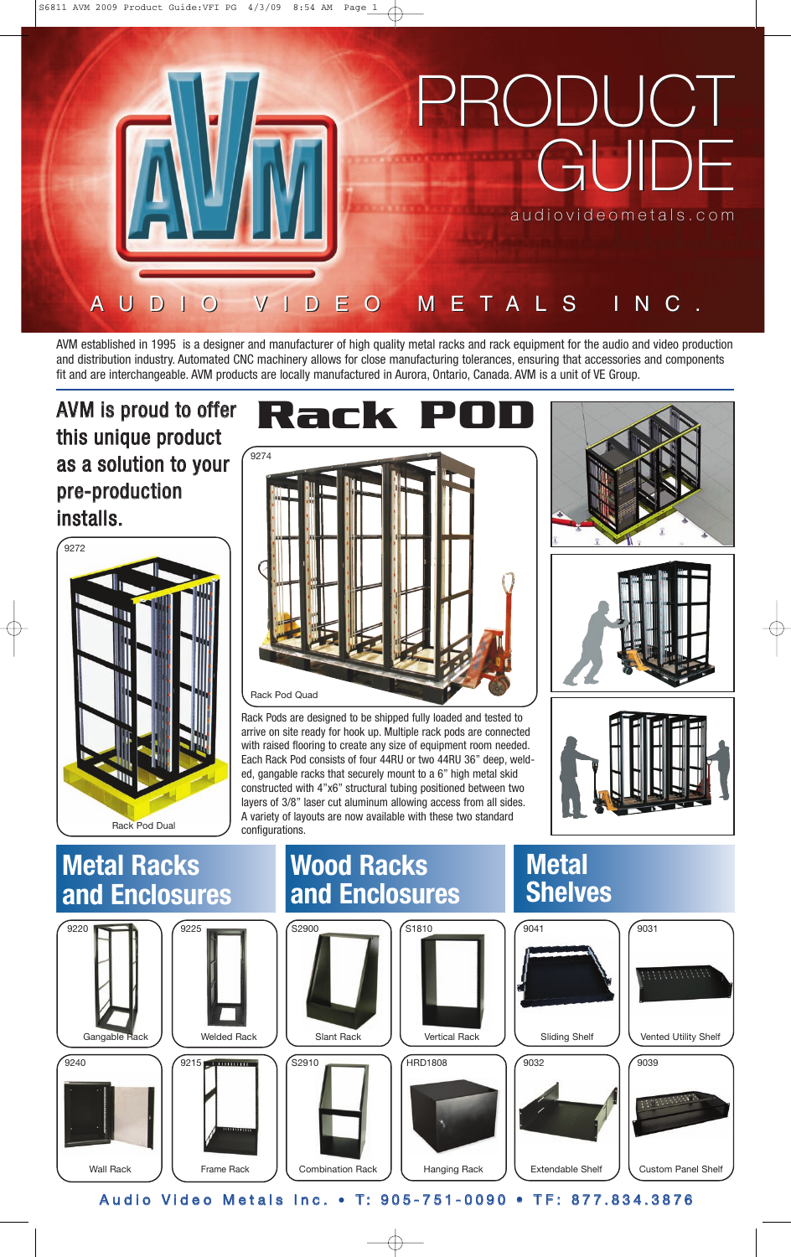

AVM established in 1995 is a designer and manufacturer of high quality metal racks and rack equipment for the audio and video production and distribution industry. Automated CNC machinery allows for close manufacturing tolerances, ensuring that accessories and components fit and are interchangeable. AVM products are locally manufactured in Aurora, Ontario, Canada. AVM is a unit of VE Group.

## AVM is proud to offer this unique product as a solution to your pre-production installs.





Rack Pods are designed to be shipped fully loaded and tested to arrive on site ready for hook up. Multiple rack pods are connected with raised flooring to create any size of equipment room needed. Each Rack Pod consists of four 44RU or two 44RU 36" deep, welded, gangable racks that securely mount to a 6" high metal skid constructed with 4"x6" structural tubing positioned between two layers of 3/8" laser cut aluminum allowing access from all sides. A variety of layouts are now available with these two standard configurations.







## **Metal Racks and Enclosures** anss Extendable Shelf .<br>anaa Custom Panel Shelf 9031 Vented Utility Shelf 9041 Sliding Shelf  $\sqrt{\sqrt{29910}}$ Slant Rack .<br>S2900 Vertical Rack 9225 (S2900 ) (S1810 Welded Rack 9215 Frame Rack 9240 Wall Rack 9220 Gangable **Metal Shelves Wood Racks and Enclosures**  Combination Rack **HRD1808** Hanging Rack

Audio Video Metals Inc. • T: 905-751-0090 • TF: 877.834.3876